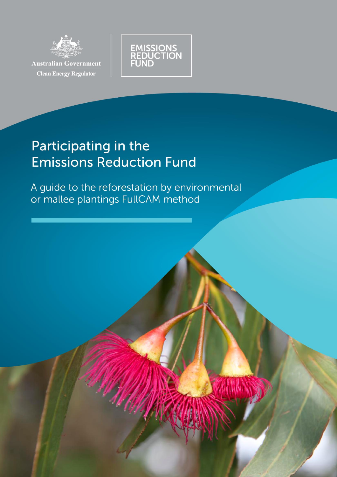



# Participating in the **Emissions Reduction Fund**

A guide to the reforestation by environmental or mallee plantings FullCAM method

AVANA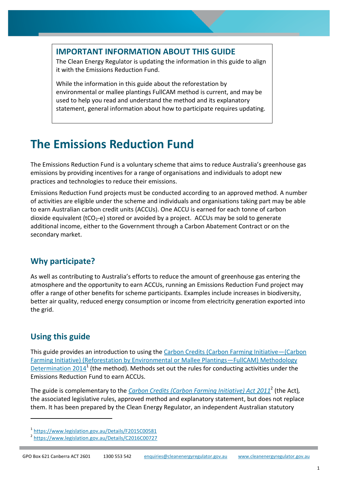#### **IMPORTANT INFORMATION ABOUT THIS GUIDE**

The Clean Energy Regulator is updating the information in this guide to align it with the Emissions Reduction Fund.

While the information in this guide about the reforestation by environmental or mallee plantings FullCAM method is current, and may be used to help you read and understand the method and its explanatory statement, general information about how to participate requires updating.

## **The Emissions Reduction Fund**

The Emissions Reduction Fund is a voluntary scheme that aims to reduce Australia's greenhouse gas emissions by providing incentives for a range of organisations and individuals to adopt new practices and technologies to reduce their emissions.

Emissions Reduction Fund projects must be conducted according to an approved method. A number of activities are eligible under the scheme and individuals and organisations taking part may be able to earn Australian carbon credit units (ACCUs). One ACCU is earned for each tonne of carbon dioxide equivalent ( $tCO<sub>2</sub>$ -e) stored or avoided by a project. ACCUs may be sold to generate additional income, either to the Government through a Carbon Abatement Contract or on the secondary market.

### **Why participate?**

As well as contributing to Australia's efforts to reduce the amount of greenhouse gas entering the atmosphere and the opportunity to earn ACCUs, running an Emissions Reduction Fund project may offer a range of other benefits for scheme participants. Examples include increases in biodiversity, better air quality, reduced energy consumption or income from electricity generation exported into the grid.

### **Using this guide**

l

This guide provides an introduction to using the [Carbon Credits \(Carbon Farming Initiative](https://www.legislation.gov.au/Details/F2015C00581)—(Carbon [Farming Initiative\) \(Reforestation by Environmental or Mallee Plantings](https://www.legislation.gov.au/Details/F2015C00581)—FullCAM) Methodology [Determination 2014](https://www.legislation.gov.au/Details/F2015C00581)<sup>1</sup> (the method). Methods set out the rules for conducting activities under the Emissions Reduction Fund to earn ACCUs.

The guide is complementary to the *[Carbon Credits \(Carbon Farming Initiative\) Act 2011](https://www.legislation.gov.au/Details/C2016C00727)*<sup>2</sup> (the Act)*,*  the associated legislative rules, approved method and explanatory statement, but does not replace them. It has been prepared by the Clean Energy Regulator, an independent Australian statutory

<sup>1</sup> <https://www.legislation.gov.au/Details/F2015C00581>

<sup>&</sup>lt;sup>2</sup> <https://www.legislation.gov.au/Details/C2016C00727>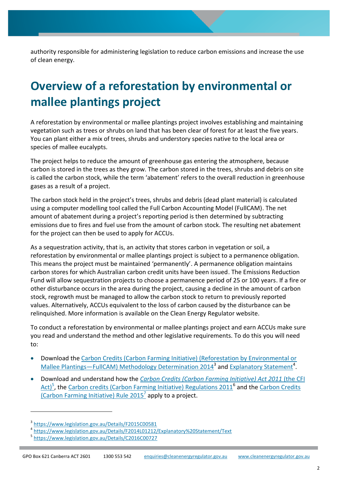authority responsible for administering legislation to reduce carbon emissions and increase the use of clean energy.

## **Overview of a reforestation by environmental or mallee plantings project**

A reforestation by environmental or mallee plantings project involves establishing and maintaining vegetation such as trees or shrubs on land that has been clear of forest for at least the five years. You can plant either a mix of trees, shrubs and understory species native to the local area or species of mallee eucalypts.

The project helps to reduce the amount of greenhouse gas entering the atmosphere, because carbon is stored in the trees as they grow. The carbon stored in the trees, shrubs and debris on site is called the carbon stock, while the term 'abatement' refers to the overall reduction in greenhouse gases as a result of a project.

The carbon stock held in the project's trees, shrubs and debris (dead plant material) is calculated using a computer modelling tool called the Full Carbon Accounting Model (FullCAM). The net amount of abatement during a project's reporting period is then determined by subtracting emissions due to fires and fuel use from the amount of carbon stock. The resulting net abatement for the project can then be used to apply for ACCUs.

As a sequestration activity, that is, an activity that stores carbon in vegetation or soil, a reforestation by environmental or mallee plantings project is subject to a permanence obligation. This means the project must be maintained 'permanently'. A permanence obligation maintains carbon stores for which Australian carbon credit units have been issued. The Emissions Reduction Fund will allow sequestration projects to choose a permanence period of 25 or 100 years. If a fire or other disturbance occurs in the area during the project, causing a decline in the amount of carbon stock, regrowth must be managed to allow the carbon stock to return to previously reported values. Alternatively, ACCUs equivalent to the loss of carbon caused by the disturbance can be relinquished. More information is available on the Clean Energy Regulator website.

To conduct a reforestation by environmental or mallee plantings project and earn ACCUs make sure you read and understand the method and other legislative requirements. To do this you will need to:

- Download the [Carbon Credits \(Carbon Farming Initiative\) \(Reforestation by Environmental or](https://www.legislation.gov.au/Details/F2015C00581)  Mallee Plantings—[FullCAM\) Methodology Determination 2014](https://www.legislation.gov.au/Details/F2015C00581)<sup>3</sup> and [Explanatory Statement](https://www.legislation.gov.au/Details/F2014L01212/Explanatory%20Statement/Text)<sup>4</sup>.
- Download and understand how the *[Carbon Credits \(Carbon Farming Initiative\) Act 2011](https://www.legislation.gov.au/Details/C2016C00727)* (the CFI [Act\)](https://www.legislation.gov.au/Details/C2016C00727)<sup>5</sup>, the [Carbon credits \(Carbon Farming Initiative\) Regulations 2011](https://www.legislation.gov.au/Details/F2015C00658)<sup>6</sup> and the Carbon Credits (Carbon Farming Initiative) Rule  $2015^7$  apply to a project.

 $\overline{a}$ 

<sup>&</sup>lt;sup>3</sup> <https://www.legislation.gov.au/Details/F2015C00581>

<sup>4</sup> <https://www.legislation.gov.au/Details/F2014L01212/Explanatory%20Statement/Text> <sup>5</sup> <https://www.legislation.gov.au/Details/C2016C00727>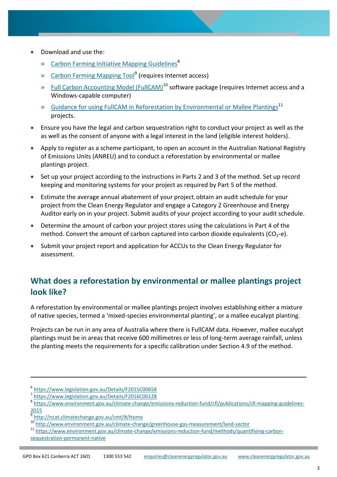- Download and use the:
	- » [Carbon Farming Initiative Mapping Guidelines](https://www.environment.gov.au/climate-change/emissions-reduction-fund/cfi/publications/cfi-mapping-guidelines-2015)<sup>8</sup>
	- » [Carbon Farming Mapping Tool](http://ncat.climatechange.gov.au/cmt/)<sup>9</sup> (requires Internet access)
	- » [Full Carbon Accounting Model \(FullCAM\)](http://www.environment.gov.au/climate-change/greenhouse-gas-measurement/land-sector)<sup>10</sup> software package (requires Internet access and a Windows-capable computer)
	- » [Guidance for using FullCAM in Reforestation by Environmental or Mallee Plantings](https://www.environment.gov.au/climate-change/emissions-reduction-fund/methods/quantifiying-carbon-sequestration-permanent-native)<sup>11</sup> projects.
- Ensure you have the legal and carbon sequestration right to conduct your project as well as the as well as the consent of anyone with a legal interest in the land (eligible interest holders).
- Apply to register as a scheme participant, to open an account in the Australian National Registry of Emissions Units (ANREU) and to conduct a reforestation by environmental or mallee plantings project.
- Set up your project according to the instructions in Parts 2 and 3 of the method. Set up record keeping and monitoring systems for your project as required by Part 5 of the method.
- Estimate the average annual abatement of your project, obtain an audit schedule for your project from the Clean Energy Regulator and engage a Category 2 Greenhouse and Energy Auditor early on in your project. Submit audits of your project according to your audit schedule.
- Determine the amount of carbon your project stores using the calculations in Part 4 of the method. Convert the amount of carbon captured into carbon dioxide equivalents ( $CO<sub>2</sub>-e$ ).
- Submit your project report and application for ACCUs to the Clean Energy Regulator for assessment.

## **What does a reforestation by environmental or mallee plantings project look like?**

A reforestation by environmental or mallee plantings project involves establishing either a mixture of native species, termed a 'mixed-species environmental planting', or a mallee eucalypt planting.

Projects can be run in any area of Australia where there is FullCAM data. However, mallee eucalypt plantings must be in areas that receive 600 millimetres or less of long-term average rainfall, unless the planting meets the requirements for a specific calibration under Section 4.9 of the method.

 $\overline{a}$ 

<sup>6</sup> <https://www.legislation.gov.au/Details/F2015C00658>

<sup>&</sup>lt;sup>7</sup> <https://www.legislation.gov.au/Details/F2016C00128>

<sup>&</sup>lt;sup>8</sup> [https://www.environment.gov.au/climate-change/emissions-reduction-fund/cfi/publications/cfi-mapping-guidelines-](https://www.environment.gov.au/climate-change/emissions-reduction-fund/cfi/publications/cfi-mapping-guidelines-2015)[2015](https://www.environment.gov.au/climate-change/emissions-reduction-fund/cfi/publications/cfi-mapping-guidelines-2015)

<sup>9</sup> <http://ncat.climatechange.gov.au/cmt/#/Home>

<sup>10</sup> <http://www.environment.gov.au/climate-change/greenhouse-gas-measurement/land-sector>

<sup>11</sup> [https://www.environment.gov.au/climate-change/emissions-reduction-fund/methods/quantifiying-carbon](https://www.environment.gov.au/climate-change/emissions-reduction-fund/methods/quantifiying-carbon-sequestration-permanent-native)[sequestration-permanent-native](https://www.environment.gov.au/climate-change/emissions-reduction-fund/methods/quantifiying-carbon-sequestration-permanent-native)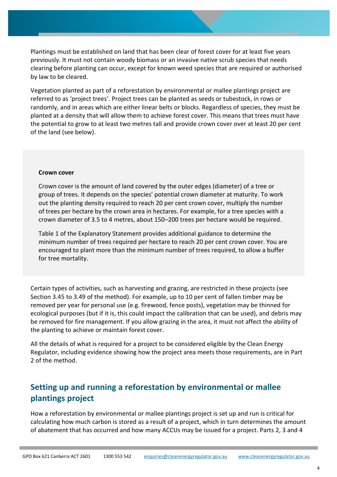Plantings must be established on land that has been clear of forest cover for at least five years previously. It must not contain woody biomass or an invasive native scrub species that needs clearing before planting can occur, except for known weed species that are required or authorised by law to be cleared.

Vegetation planted as part of a reforestation by environmental or mallee plantings project are referred to as 'project trees'. Project trees can be planted as seeds or tubestock, in rows or randomly, and in areas which are either linear belts or blocks. Regardless of species, they must be planted at a density that will allow them to achieve forest cover. This means that trees must have the potential to grow to at least two metres tall and provide crown cover over at least 20 per cent of the land (see below).

#### **Crown cover**

Crown cover is the amount of land covered by the outer edges (diameter) of a tree or group of trees. It depends on the species' potential crown diameter at maturity. To work out the planting density required to reach 20 per cent crown cover, multiply the number of trees per hectare by the crown area in hectares. For example, for a tree species with a crown diameter of 3.5 to 4 metres, about 150–200 trees per hectare would be required.

Table 1 of the Explanatory Statement provides additional guidance to determine the minimum number of trees required per hectare to reach 20 per cent crown cover. You are encouraged to plant more than the minimum number of trees required, to allow a buffer for tree mortality.

Certain types of activities, such as harvesting and grazing, are restricted in these projects (see Section 3.45 to 3.49 of the method). For example, up to 10 per cent of fallen timber may be removed per year for personal use (e.g. firewood, fence posts), vegetation may be thinned for ecological purposes (but if it is, this could impact the calibration that can be used), and debris may be removed for fire management. If you allow grazing in the area, it must not affect the ability of the planting to achieve or maintain forest cover.

All the details of what is required for a project to be considered eligible by the Clean Energy Regulator, including evidence showing how the project area meets those requirements, are in Part 2 of the method.

### **Setting up and running a reforestation by environmental or mallee plantings project**

How a reforestation by environmental or mallee plantings project is set up and run is critical for calculating how much carbon is stored as a result of a project, which in turn determines the amount of abatement that has occurred and how many ACCUs may be issued for a project. Parts 2, 3 and 4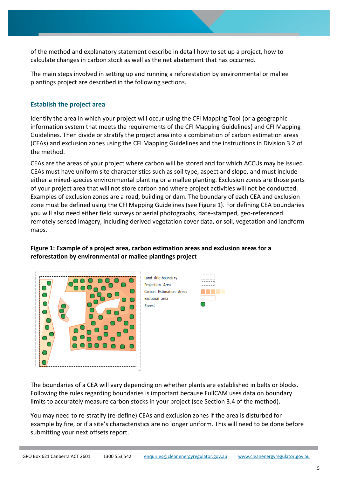of the method and explanatory statement describe in detail how to set up a project, how to calculate changes in carbon stock as well as the net abatement that has occurred.

The main steps involved in setting up and running a reforestation by environmental or mallee plantings project are described in the following sections.

#### **Establish the project area**

Identify the area in which your project will occur using the CFI Mapping Tool (or a geographic information system that meets the requirements of the CFI Mapping Guidelines) and CFI Mapping Guidelines. Then divide or stratify the project area into a combination of carbon estimation areas (CEAs) and exclusion zones using the CFI Mapping Guidelines and the instructions in Division 3.2 of the method.

CEAs are the areas of your project where carbon will be stored and for which ACCUs may be issued. CEAs must have uniform site characteristics such as soil type, aspect and slope, and must include either a mixed-species environmental planting or a mallee planting. Exclusion zones are those parts of your project area that will not store carbon and where project activities will not be conducted. Examples of exclusion zones are a road, building or dam. The boundary of each CEA and exclusion zone must be defined using the CFI Mapping Guidelines (see Figure 1). For defining CEA boundaries you will also need either field surveys or aerial photographs, date-stamped, geo-referenced remotely sensed imagery, including derived vegetation cover data, or soil, vegetation and landform maps.

#### **Figure 1: Example of a project area, carbon estimation areas and exclusion areas for a reforestation by environmental or mallee plantings project**



Land title boundary Projection Area Carbon Estimation Areas Exclusion area Forest



The boundaries of a CEA will vary depending on whether plants are established in belts or blocks. Following the rules regarding boundaries is important because FullCAM uses data on boundary limits to accurately measure carbon stocks in your project (see Section 3.4 of the method).

You may need to re-stratify (re-define) CEAs and exclusion zones if the area is disturbed for example by fire, or if a site's characteristics are no longer uniform. This will need to be done before submitting your next offsets report.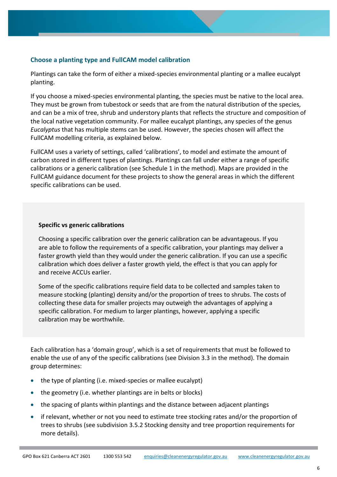#### **Choose a planting type and FullCAM model calibration**

Plantings can take the form of either a mixed-species environmental planting or a mallee eucalypt planting.

If you choose a mixed-species environmental planting, the species must be native to the local area. They must be grown from tubestock or seeds that are from the natural distribution of the species, and can be a mix of tree, shrub and understory plants that reflects the structure and composition of the local native vegetation community. For mallee eucalypt plantings, any species of the genus *Eucalyptus* that has multiple stems can be used. However, the species chosen will affect the FullCAM modelling criteria, as explained below.

FullCAM uses a variety of settings, called 'calibrations', to model and estimate the amount of carbon stored in different types of plantings. Plantings can fall under either a range of specific calibrations or a generic calibration (see Schedule 1 in the method). Maps are provided in the FullCAM guidance document for these projects to show the general areas in which the different specific calibrations can be used.

#### **Specific vs generic calibrations**

Choosing a specific calibration over the generic calibration can be advantageous. If you are able to follow the requirements of a specific calibration, your plantings may deliver a faster growth yield than they would under the generic calibration. If you can use a specific calibration which does deliver a faster growth yield, the effect is that you can apply for and receive ACCUs earlier.

Some of the specific calibrations require field data to be collected and samples taken to measure stocking (planting) density and/or the proportion of trees to shrubs. The costs of collecting these data for smaller projects may outweigh the advantages of applying a specific calibration. For medium to larger plantings, however, applying a specific calibration may be worthwhile.

Each calibration has a 'domain group', which is a set of requirements that must be followed to enable the use of any of the specific calibrations (see Division 3.3 in the method). The domain group determines:

- the type of planting (i.e. mixed-species or mallee eucalypt)
- the geometry (i.e. whether plantings are in belts or blocks)
- the spacing of plants within plantings and the distance between adjacent plantings
- if relevant, whether or not you need to estimate tree stocking rates and/or the proportion of trees to shrubs (see subdivision 3.5.2 Stocking density and tree proportion requirements for more details).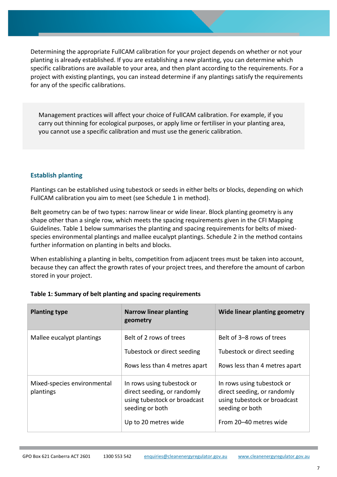Determining the appropriate FullCAM calibration for your project depends on whether or not your planting is already established. If you are establishing a new planting, you can determine which specific calibrations are available to your area, and then plant according to the requirements. For a project with existing plantings, you can instead determine if any plantings satisfy the requirements for any of the specific calibrations.

Management practices will affect your choice of FullCAM calibration. For example, if you carry out thinning for ecological purposes, or apply lime or fertiliser in your planting area, you cannot use a specific calibration and must use the generic calibration.

#### **Establish planting**

Plantings can be established using tubestock or seeds in either belts or blocks, depending on which FullCAM calibration you aim to meet (see Schedule 1 in method).

Belt geometry can be of two types: narrow linear or wide linear. Block planting geometry is any shape other than a single row, which meets the spacing requirements given in the CFI Mapping Guidelines. Table 1 below summarises the planting and spacing requirements for belts of mixedspecies environmental plantings and mallee eucalypt plantings. Schedule 2 in the method contains further information on planting in belts and blocks.

When establishing a planting in belts, competition from adjacent trees must be taken into account, because they can affect the growth rates of your project trees, and therefore the amount of carbon stored in your project.

| <b>Planting type</b>                     | <b>Narrow linear planting</b><br>geometry                                                                                            | Wide linear planting geometry                                                                                                          |
|------------------------------------------|--------------------------------------------------------------------------------------------------------------------------------------|----------------------------------------------------------------------------------------------------------------------------------------|
| Mallee eucalypt plantings                | Belt of 2 rows of trees<br>Tubestock or direct seeding<br>Rows less than 4 metres apart                                              | Belt of 3–8 rows of trees<br>Tubestock or direct seeding<br>Rows less than 4 metres apart                                              |
| Mixed-species environmental<br>plantings | In rows using tubestock or<br>direct seeding, or randomly<br>using tubestock or broadcast<br>seeding or both<br>Up to 20 metres wide | In rows using tubestock or<br>direct seeding, or randomly<br>using tubestock or broadcast<br>seeding or both<br>From 20–40 metres wide |

#### **Table 1: Summary of belt planting and spacing requirements**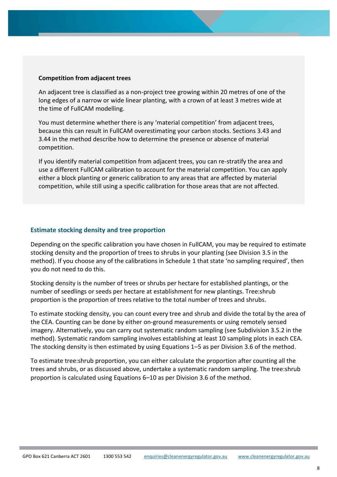#### **Competition from adjacent trees**

An adjacent tree is classified as a non-project tree growing within 20 metres of one of the long edges of a narrow or wide linear planting, with a crown of at least 3 metres wide at the time of FullCAM modelling.

You must determine whether there is any 'material competition' from adjacent trees, because this can result in FullCAM overestimating your carbon stocks. Sections 3.43 and 3.44 in the method describe how to determine the presence or absence of material competition.

If you identify material competition from adjacent trees, you can re-stratify the area and use a different FullCAM calibration to account for the material competition. You can apply either a block planting or generic calibration to any areas that are affected by material competition, while still using a specific calibration for those areas that are not affected.

#### **Estimate stocking density and tree proportion**

Depending on the specific calibration you have chosen in FullCAM, you may be required to estimate stocking density and the proportion of trees to shrubs in your planting (see Division 3.5 in the method). If you choose any of the calibrations in Schedule 1 that state 'no sampling required', then you do not need to do this.

Stocking density is the number of trees or shrubs per hectare for established plantings, or the number of seedlings or seeds per hectare at establishment for new plantings. Tree:shrub proportion is the proportion of trees relative to the total number of trees and shrubs.

To estimate stocking density, you can count every tree and shrub and divide the total by the area of the CEA. Counting can be done by either on-ground measurements or using remotely sensed imagery. Alternatively, you can carry out systematic random sampling (see Subdivision 3.5.2 in the method). Systematic random sampling involves establishing at least 10 sampling plots in each CEA. The stocking density is then estimated by using Equations 1–5 as per Division 3.6 of the method.

To estimate tree:shrub proportion, you can either calculate the proportion after counting all the trees and shrubs, or as discussed above, undertake a systematic random sampling. The tree:shrub proportion is calculated using Equations 6–10 as per Division 3.6 of the method.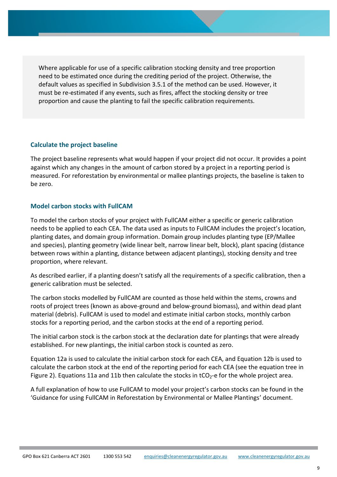Where applicable for use of a specific calibration stocking density and tree proportion need to be estimated once during the crediting period of the project. Otherwise, the default values as specified in Subdivision 3.5.1 of the method can be used. However, it must be re-estimated if any events, such as fires, affect the stocking density or tree proportion and cause the planting to fail the specific calibration requirements.

#### **Calculate the project baseline**

The project baseline represents what would happen if your project did not occur. It provides a point against which any changes in the amount of carbon stored by a project in a reporting period is measured. For reforestation by environmental or mallee plantings projects, the baseline is taken to be zero.

#### **Model carbon stocks with FullCAM**

To model the carbon stocks of your project with FullCAM either a specific or generic calibration needs to be applied to each CEA. The data used as inputs to FullCAM includes the project's location, planting dates, and domain group information. Domain group includes planting type (EP/Mallee and species), planting geometry (wide linear belt, narrow linear belt, block), plant spacing (distance between rows within a planting, distance between adjacent plantings), stocking density and tree proportion, where relevant.

As described earlier, if a planting doesn't satisfy all the requirements of a specific calibration, then a generic calibration must be selected.

The carbon stocks modelled by FullCAM are counted as those held within the stems, crowns and roots of project trees (known as above-ground and below-ground biomass), and within dead plant material (debris). FullCAM is used to model and estimate initial carbon stocks, monthly carbon stocks for a reporting period, and the carbon stocks at the end of a reporting period.

The initial carbon stock is the carbon stock at the declaration date for plantings that were already established. For new plantings, the initial carbon stock is counted as zero.

Equation 12a is used to calculate the initial carbon stock for each CEA, and Equation 12b is used to calculate the carbon stock at the end of the reporting period for each CEA (see the equation tree in Figure 2). Equations 11a and 11b then calculate the stocks in  $tCO_2$ -e for the whole project area.

A full explanation of how to use FullCAM to model your project's carbon stocks can be found in the 'Guidance for using FullCAM in Reforestation by Environmental or Mallee Plantings' document.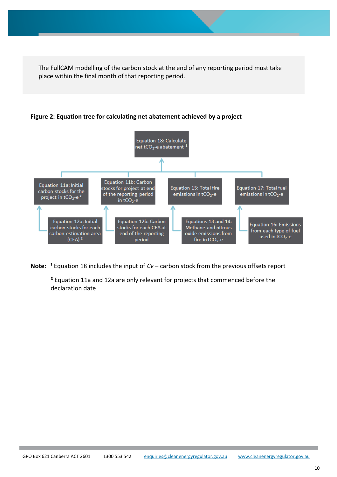The FullCAM modelling of the carbon stock at the end of any reporting period must take place within the final month of that reporting period.

**Figure 2: Equation tree for calculating net abatement achieved by a project**



**Note:** <sup>1</sup> Equation 18 includes the input of *Cv* – carbon stock from the previous offsets report

**²** Equation 11a and 12a are only relevant for projects that commenced before the declaration date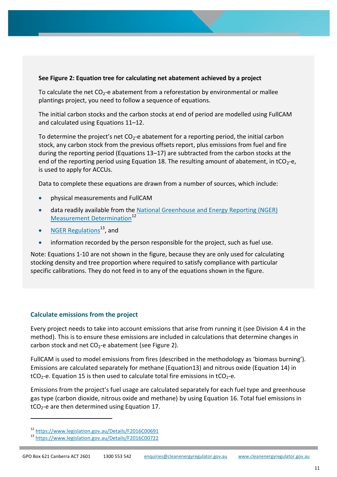#### **See Figure 2: Equation tree for calculating net abatement achieved by a project**

To calculate the net  $CO<sub>2</sub>$ -e abatement from a reforestation by environmental or mallee plantings project, you need to follow a sequence of equations.

The initial carbon stocks and the carbon stocks at end of period are modelled using FullCAM and calculated using Equations 11–12.

To determine the project's net  $CO<sub>2</sub>$ -e abatement for a reporting period, the initial carbon stock, any carbon stock from the previous offsets report, plus emissions from fuel and fire during the reporting period (Equations 13–17) are subtracted from the carbon stocks at the end of the reporting period using Equation 18. The resulting amount of abatement, in tCO<sub>2</sub>-e, is used to apply for ACCUs.

Data to complete these equations are drawn from a number of sources, which include:

- physical measurements and FullCAM
- data readily available from the National Greenhouse and Energy Reporting (NGER) [Measurement Determination](https://www.legislation.gov.au/Details/F2016C00691)<sup>12</sup>
- [NGER Regulations](https://www.legislation.gov.au/Details/F2016C00722)<sup>13</sup>, and
- information recorded by the person responsible for the project, such as fuel use.

Note: Equations 1-10 are not shown in the figure, because they are only used for calculating stocking density and tree proportion where required to satisfy compliance with particular specific calibrations. They do not feed in to any of the equations shown in the figure.

#### **Calculate emissions from the project**

Every project needs to take into account emissions that arise from running it (see Division 4.4 in the method). This is to ensure these emissions are included in calculations that determine changes in carbon stock and net  $CO<sub>2</sub>$ -e abatement (see Figure 2).

FullCAM is used to model emissions from fires (described in the methodology as 'biomass burning'). Emissions are calculated separately for methane (Equation13) and nitrous oxide (Equation 14) in  $tCO<sub>2</sub>$ -e. Equation 15 is then used to calculate total fire emissions in tCO<sub>2</sub>-e.

Emissions from the project's fuel usage are calculated separately for each fuel type and greenhouse gas type (carbon dioxide, nitrous oxide and methane) by using Equation 16. Total fuel emissions in  $tCO<sub>2</sub>$ -e are then determined using Equation 17.

l

<sup>12</sup> <https://www.legislation.gov.au/Details/F2016C00691>

<sup>13</sup> <https://www.legislation.gov.au/Details/F2016C00722>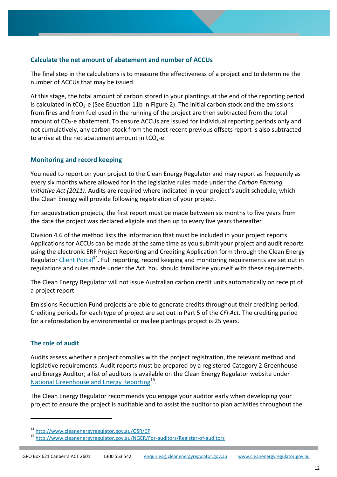#### **Calculate the net amount of abatement and number of ACCUs**

The final step in the calculations is to measure the effectiveness of a project and to determine the number of ACCUs that may be issued.

At this stage, the total amount of carbon stored in your plantings at the end of the reporting period is calculated in tCO<sub>2</sub>-e (See Equation 11b in Figure 2). The initial carbon stock and the emissions from fires and from fuel used in the running of the project are then subtracted from the total amount of  $CO<sub>2</sub>$ -e abatement. To ensure ACCUs are issued for individual reporting periods only and not cumulatively, any carbon stock from the most recent previous offsets report is also subtracted to arrive at the net abatement amount in  $tCO<sub>2</sub>-e$ .

#### **Monitoring and record keeping**

You need to report on your project to the Clean Energy Regulator and may report as frequently as every six months where allowed for in the legislative rules made under the *Carbon Farming Initiative Act (2011).* Audits are required where indicated in your project's audit schedule, which the Clean Energy will provide following registration of your project.

For sequestration projects, the first report must be made between six months to five years from the date the project was declared eligible and then up to every five years thereafter

Division 4.6 of the method lists the information that must be included in your project reports. Applications for ACCUs can be made at the same time as you submit your project and audit reports using the electronic ERF Project Reporting and Crediting Application form through the Clean Energy Regulator [Client Portal](http://www.cleanenergyregulator.gov.au/OSR/CP)<sup>14</sup>. Full reporting, record keeping and monitoring requirements are set out in regulations and rules made under the Act. You should familiarise yourself with these requirements.

The Clean Energy Regulator will not issue Australian carbon credit units automatically on receipt of a project report.

Emissions Reduction Fund projects are able to generate credits throughout their crediting period. Crediting periods for each type of project are set out in Part 5 of the *CFI Act*. The crediting period for a reforestation by environmental or mallee plantings project is 25 years.

#### **The role of audit**

l

Audits assess whether a project complies with the project registration, the relevant method and legislative requirements. Audit reports must be prepared by a registered Category 2 Greenhouse and Energy Auditor; a list of auditors is available on the Clean Energy Regulator website under [National Greenhouse and Energy Reporting](http://www.cleanenergyregulator.gov.au/NGER/For-auditors/Register-of-auditors)<sup>15</sup>.

The Clean Energy Regulator recommends you engage your auditor early when developing your project to ensure the project is auditable and to assist the auditor to plan activities throughout the

<sup>14</sup> <http://www.cleanenergyregulator.gov.au/OSR/CP>

<sup>15</sup> <http://www.cleanenergyregulator.gov.au/NGER/For-auditors/Register-of-auditors>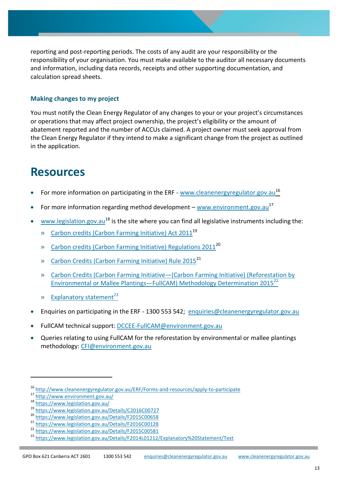reporting and post-reporting periods. The costs of any audit are your responsibility or the responsibility of your organisation. You must make available to the auditor all necessary documents and information, including data records, receipts and other supporting documentation, and calculation spread sheets.

#### **Making changes to my project**

You must notify the Clean Energy Regulator of any changes to your or your project's circumstances or operations that may affect project ownership, the project's eligibility or the amount of abatement reported and the number of ACCUs claimed. A project owner must seek approval from the Clean Energy Regulator if they intend to make a significant change from the project as outlined in the application.

## **Resources**

- For more information on participating in the ERF [www.cleanenergyregulator.gov.au](http://www.cleanenergyregulator.gov.au/ERF/Forms-and-resources/apply-to-participate)<sup>16</sup>
- For more information regarding method development [www.environment.gov.au](http://www.environment.gov.au/)<sup>17</sup>
- [www.legislation.gov.au](http://www.legislation.gov.au/)<sup>18</sup> is the site where you can find all legislative instruments including the:
	- » [Carbon credits \(Carbon Farming Initiative\) Act 2011](https://www.legislation.gov.au/Details/C2016C00727)<sup>19</sup>
	- » [Carbon credits \(Carbon Farming Initiative\) Regulations 2011](https://www.legislation.gov.au/Details/F2015C00658)<sup>20</sup>
	- » [Carbon Credits \(Carbon Farming Initiative\) Rule 2015](https://www.legislation.gov.au/Details/F2016C00128)<sup>21</sup>
	- » Carbon Credits (Carbon Farming Initiative—[\(Carbon Farming Initiative\) \(Reforestation by](https://www.legislation.gov.au/Details/F2015C00581)  [Environmental or Mallee Plantings](https://www.legislation.gov.au/Details/F2015C00581)—FullCAM) Methodology Determination 2015<sup>22</sup>
	- $\bullet$  [Explanatory statement](https://www.legislation.gov.au/Details/F2014L01212/Explanatory%20Statement/Text)<sup>23</sup>
- Enquiries on participating in the ERF 1300 553 542; [enquiries@cleanenergyregulator.gov.au](mailto:enquiries@cleanenergyregulator.gov.au)
- FullCAM technical support: [DCCEE-FullCAM@environment.gov.au](mailto:DCCEE-FullCAM@environment.gov.au)
- Queries relating to using FullCAM for the reforestation by environmental or mallee plantings methodology: [CFI@environment.gov.au](mailto:CFI@environment.gov.au)

 $\overline{a}$ 

<sup>16</sup> <http://www.cleanenergyregulator.gov.au/ERF/Forms-and-resources/apply-to-participate>

<sup>17</sup> <http://www.environment.gov.au/>

<sup>18</sup> <https://www.legislation.gov.au/>

<sup>19</sup> <https://www.legislation.gov.au/Details/C2016C00727>

<sup>&</sup>lt;sup>20</sup> <https://www.legislation.gov.au/Details/F2015C00658>

<sup>&</sup>lt;sup>21</sup> <https://www.legislation.gov.au/Details/F2016C00128>

<sup>22</sup> <https://www.legislation.gov.au/Details/F2015C00581>

<sup>23</sup> <https://www.legislation.gov.au/Details/F2014L01212/Explanatory%20Statement/Text>